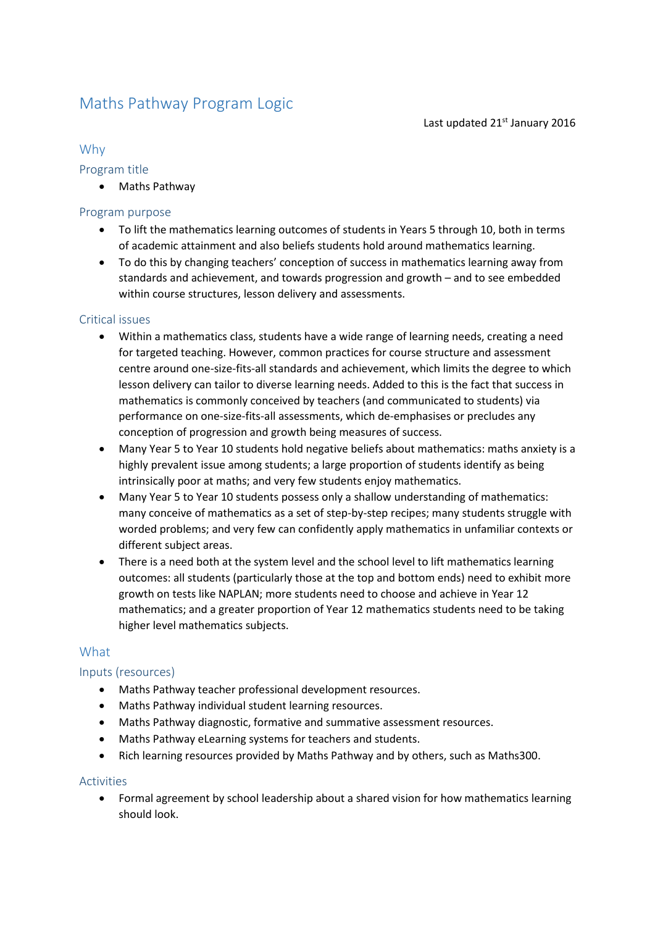# Maths Pathway Program Logic

Last updated 21<sup>st</sup> January 2016

## Why

#### Program title

• Maths Pathway

## Program purpose

- To lift the mathematics learning outcomes of students in Years 5 through 10, both in terms of academic attainment and also beliefs students hold around mathematics learning.
- To do this by changing teachers' conception of success in mathematics learning away from standards and achievement, and towards progression and growth – and to see embedded within course structures, lesson delivery and assessments.

#### Critical issues

- Within a mathematics class, students have a wide range of learning needs, creating a need for targeted teaching. However, common practices for course structure and assessment centre around one-size-fits-all standards and achievement, which limits the degree to which lesson delivery can tailor to diverse learning needs. Added to this is the fact that success in mathematics is commonly conceived by teachers (and communicated to students) via performance on one-size-fits-all assessments, which de-emphasises or precludes any conception of progression and growth being measures of success.
- Many Year 5 to Year 10 students hold negative beliefs about mathematics: maths anxiety is a highly prevalent issue among students; a large proportion of students identify as being intrinsically poor at maths; and very few students enjoy mathematics.
- Many Year 5 to Year 10 students possess only a shallow understanding of mathematics: many conceive of mathematics as a set of step-by-step recipes; many students struggle with worded problems; and very few can confidently apply mathematics in unfamiliar contexts or different subject areas.
- There is a need both at the system level and the school level to lift mathematics learning outcomes: all students (particularly those at the top and bottom ends) need to exhibit more growth on tests like NAPLAN; more students need to choose and achieve in Year 12 mathematics; and a greater proportion of Year 12 mathematics students need to be taking higher level mathematics subjects.

# **What**

# Inputs (resources)

- Maths Pathway teacher professional development resources.
- Maths Pathway individual student learning resources.
- Maths Pathway diagnostic, formative and summative assessment resources.
- Maths Pathway eLearning systems for teachers and students.
- Rich learning resources provided by Maths Pathway and by others, such as Maths300.

#### Activities

• Formal agreement by school leadership about a shared vision for how mathematics learning should look.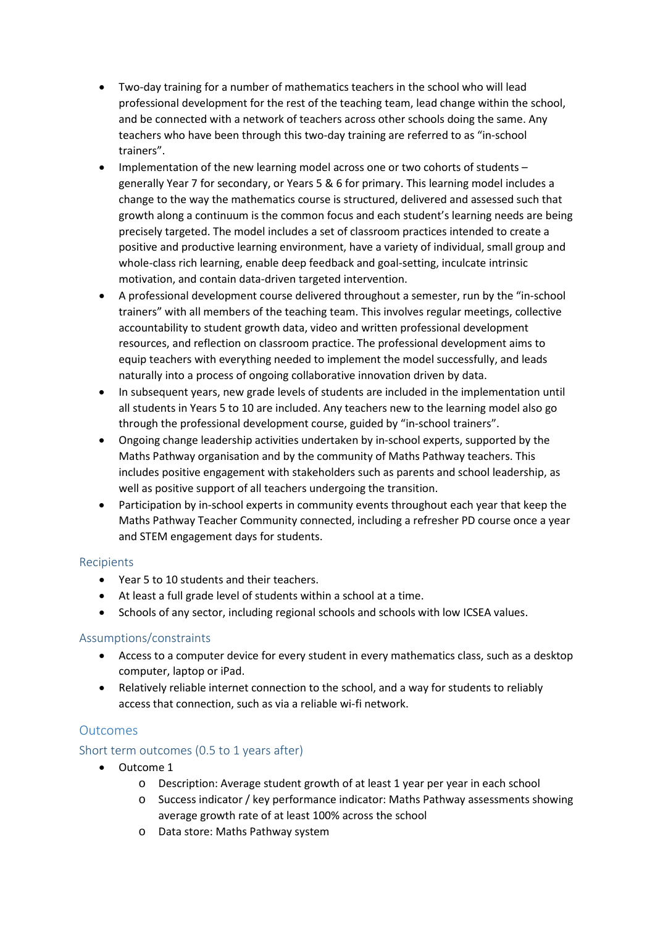- Two-day training for a number of mathematics teachers in the school who will lead professional development for the rest of the teaching team, lead change within the school, and be connected with a network of teachers across other schools doing the same. Any teachers who have been through this two-day training are referred to as "in-school trainers".
- Implementation of the new learning model across one or two cohorts of students generally Year 7 for secondary, or Years 5 & 6 for primary. This learning model includes a change to the way the mathematics course is structured, delivered and assessed such that growth along a continuum is the common focus and each student's learning needs are being precisely targeted. The model includes a set of classroom practices intended to create a positive and productive learning environment, have a variety of individual, small group and whole-class rich learning, enable deep feedback and goal-setting, inculcate intrinsic motivation, and contain data-driven targeted intervention.
- A professional development course delivered throughout a semester, run by the "in-school trainers" with all members of the teaching team. This involves regular meetings, collective accountability to student growth data, video and written professional development resources, and reflection on classroom practice. The professional development aims to equip teachers with everything needed to implement the model successfully, and leads naturally into a process of ongoing collaborative innovation driven by data.
- In subsequent years, new grade levels of students are included in the implementation until all students in Years 5 to 10 are included. Any teachers new to the learning model also go through the professional development course, guided by "in-school trainers".
- Ongoing change leadership activities undertaken by in-school experts, supported by the Maths Pathway organisation and by the community of Maths Pathway teachers. This includes positive engagement with stakeholders such as parents and school leadership, as well as positive support of all teachers undergoing the transition.
- Participation by in-school experts in community events throughout each year that keep the Maths Pathway Teacher Community connected, including a refresher PD course once a year and STEM engagement days for students.

#### Recipients

- Year 5 to 10 students and their teachers.
- At least a full grade level of students within a school at a time.
- Schools of any sector, including regional schools and schools with low ICSEA values.

#### Assumptions/constraints

- Access to a computer device for every student in every mathematics class, such as a desktop computer, laptop or iPad.
- Relatively reliable internet connection to the school, and a way for students to reliably access that connection, such as via a reliable wi-fi network.

# **Outcomes**

#### Short term outcomes (0.5 to 1 years after)

- Outcome 1
	- o Description: Average student growth of at least 1 year per year in each school
	- o Success indicator / key performance indicator: Maths Pathway assessments showing average growth rate of at least 100% across the school
	- o Data store: Maths Pathway system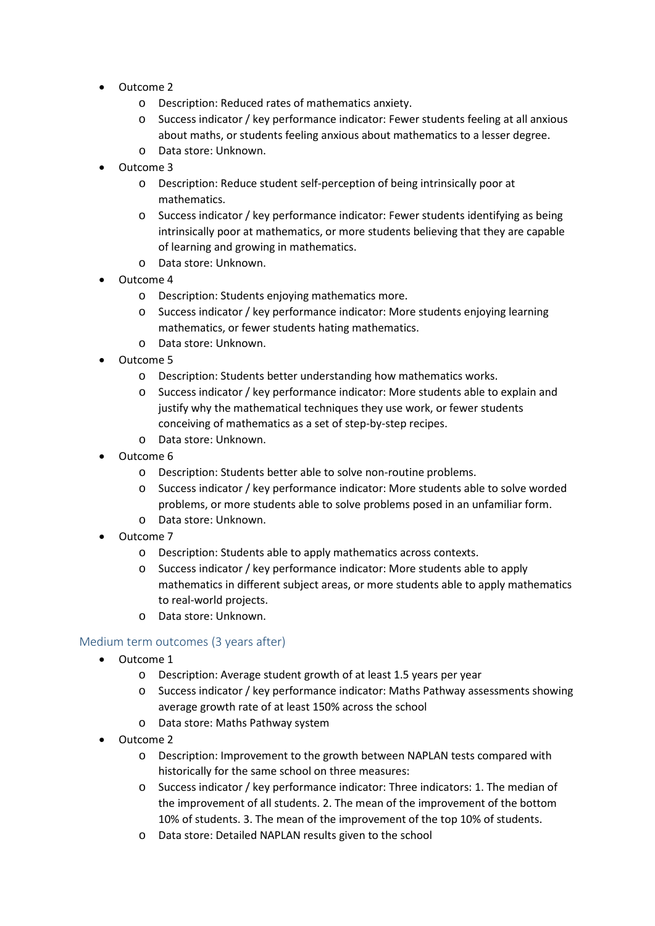- Outcome 2
	- o Description: Reduced rates of mathematics anxiety.
	- o Success indicator / key performance indicator: Fewer students feeling at all anxious about maths, or students feeling anxious about mathematics to a lesser degree.
	- o Data store: Unknown.
- Outcome 3
	- o Description: Reduce student self-perception of being intrinsically poor at mathematics.
	- o Success indicator / key performance indicator: Fewer students identifying as being intrinsically poor at mathematics, or more students believing that they are capable of learning and growing in mathematics.
	- o Data store: Unknown.
- Outcome 4
	- o Description: Students enjoying mathematics more.
	- o Success indicator / key performance indicator: More students enjoying learning mathematics, or fewer students hating mathematics.
	- o Data store: Unknown.
- Outcome 5
	- o Description: Students better understanding how mathematics works.
	- o Success indicator / key performance indicator: More students able to explain and justify why the mathematical techniques they use work, or fewer students conceiving of mathematics as a set of step-by-step recipes.
	- o Data store: Unknown.
- Outcome 6
	- o Description: Students better able to solve non-routine problems.
	- o Success indicator / key performance indicator: More students able to solve worded problems, or more students able to solve problems posed in an unfamiliar form.
	- o Data store: Unknown.
- Outcome 7
	- o Description: Students able to apply mathematics across contexts.
	- o Success indicator / key performance indicator: More students able to apply mathematics in different subject areas, or more students able to apply mathematics to real-world projects.
	- o Data store: Unknown.

#### Medium term outcomes (3 years after)

- Outcome 1
	- o Description: Average student growth of at least 1.5 years per year
	- o Success indicator / key performance indicator: Maths Pathway assessments showing average growth rate of at least 150% across the school
	- o Data store: Maths Pathway system
- Outcome 2
	- o Description: Improvement to the growth between NAPLAN tests compared with historically for the same school on three measures:
	- o Success indicator / key performance indicator: Three indicators: 1. The median of the improvement of all students. 2. The mean of the improvement of the bottom 10% of students. 3. The mean of the improvement of the top 10% of students.
	- o Data store: Detailed NAPLAN results given to the school